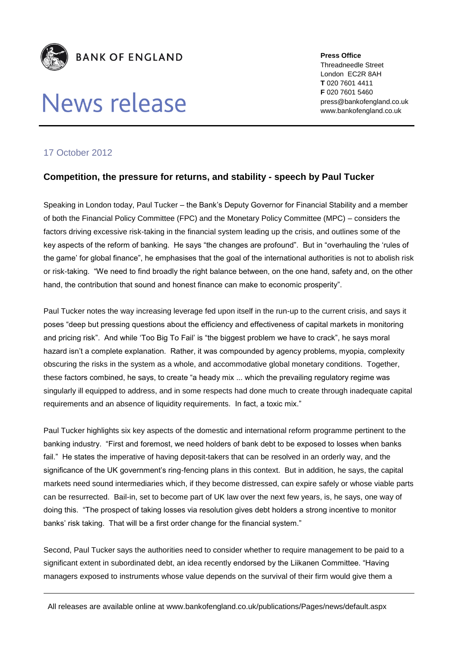

## News release

**Press Office** Threadneedle Street London EC2R 8AH **T** 020 7601 4411 **F** 020 7601 5460 press@bankofengland.co.uk www.bankofengland.co.uk

## 17 October 2012

## **Competition, the pressure for returns, and stability - speech by Paul Tucker**

Speaking in London today, Paul Tucker – the Bank's Deputy Governor for Financial Stability and a member of both the Financial Policy Committee (FPC) and the Monetary Policy Committee (MPC) – considers the factors driving excessive risk-taking in the financial system leading up the crisis, and outlines some of the key aspects of the reform of banking. He says "the changes are profound". But in "overhauling the 'rules of the game' for global finance", he emphasises that the goal of the international authorities is not to abolish risk or risk-taking. "We need to find broadly the right balance between, on the one hand, safety and, on the other hand, the contribution that sound and honest finance can make to economic prosperity".

Paul Tucker notes the way increasing leverage fed upon itself in the run-up to the current crisis, and says it poses "deep but pressing questions about the efficiency and effectiveness of capital markets in monitoring and pricing risk". And while 'Too Big To Fail' is "the biggest problem we have to crack", he says moral hazard isn't a complete explanation. Rather, it was compounded by agency problems, myopia, complexity obscuring the risks in the system as a whole, and accommodative global monetary conditions. Together, these factors combined, he says, to create "a heady mix ... which the prevailing regulatory regime was singularly ill equipped to address, and in some respects had done much to create through inadequate capital requirements and an absence of liquidity requirements. In fact, a toxic mix."

Paul Tucker highlights six key aspects of the domestic and international reform programme pertinent to the banking industry. "First and foremost, we need holders of bank debt to be exposed to losses when banks fail." He states the imperative of having deposit-takers that can be resolved in an orderly way, and the significance of the UK government's ring-fencing plans in this context. But in addition, he says, the capital markets need sound intermediaries which, if they become distressed, can expire safely or whose viable parts can be resurrected. Bail-in, set to become part of UK law over the next few years, is, he says, one way of doing this. "The prospect of taking losses via resolution gives debt holders a strong incentive to monitor banks' risk taking. That will be a first order change for the financial system."

Second, Paul Tucker says the authorities need to consider whether to require management to be paid to a significant extent in subordinated debt, an idea recently endorsed by the Liikanen Committee. "Having managers exposed to instruments whose value depends on the survival of their firm would give them a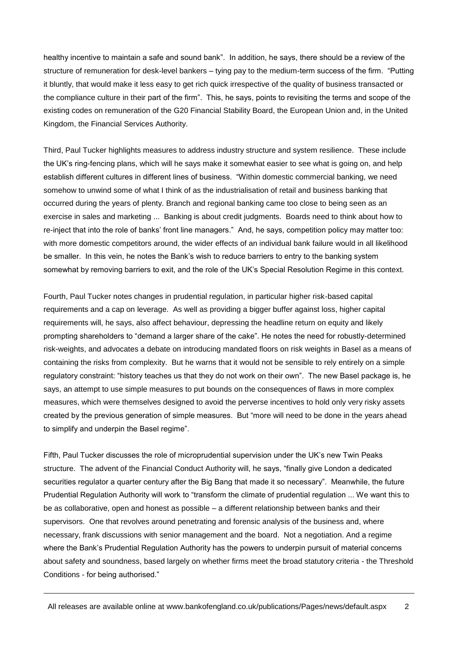healthy incentive to maintain a safe and sound bank". In addition, he says, there should be a review of the structure of remuneration for desk-level bankers – tying pay to the medium-term success of the firm. "Putting it bluntly, that would make it less easy to get rich quick irrespective of the quality of business transacted or the compliance culture in their part of the firm". This, he says, points to revisiting the terms and scope of the existing codes on remuneration of the G20 Financial Stability Board, the European Union and, in the United Kingdom, the Financial Services Authority.

Third, Paul Tucker highlights measures to address industry structure and system resilience. These include the UK's ring-fencing plans, which will he says make it somewhat easier to see what is going on, and help establish different cultures in different lines of business. "Within domestic commercial banking, we need somehow to unwind some of what I think of as the industrialisation of retail and business banking that occurred during the years of plenty. Branch and regional banking came too close to being seen as an exercise in sales and marketing ... Banking is about credit judgments. Boards need to think about how to re-inject that into the role of banks' front line managers." And, he says, competition policy may matter too: with more domestic competitors around, the wider effects of an individual bank failure would in all likelihood be smaller. In this vein, he notes the Bank's wish to reduce barriers to entry to the banking system somewhat by removing barriers to exit, and the role of the UK's Special Resolution Regime in this context.

Fourth, Paul Tucker notes changes in prudential regulation, in particular higher risk-based capital requirements and a cap on leverage. As well as providing a bigger buffer against loss, higher capital requirements will, he says, also affect behaviour, depressing the headline return on equity and likely prompting shareholders to "demand a larger share of the cake". He notes the need for robustly-determined risk-weights, and advocates a debate on introducing mandated floors on risk weights in Basel as a means of containing the risks from complexity. But he warns that it would not be sensible to rely entirely on a simple regulatory constraint: "history teaches us that they do not work on their own". The new Basel package is, he says, an attempt to use simple measures to put bounds on the consequences of flaws in more complex measures, which were themselves designed to avoid the perverse incentives to hold only very risky assets created by the previous generation of simple measures. But "more will need to be done in the years ahead to simplify and underpin the Basel regime".

Fifth, Paul Tucker discusses the role of microprudential supervision under the UK's new Twin Peaks structure. The advent of the Financial Conduct Authority will, he says, "finally give London a dedicated securities regulator a quarter century after the Big Bang that made it so necessary". Meanwhile, the future Prudential Regulation Authority will work to "transform the climate of prudential regulation ... We want this to be as collaborative, open and honest as possible – a different relationship between banks and their supervisors. One that revolves around penetrating and forensic analysis of the business and, where necessary, frank discussions with senior management and the board. Not a negotiation. And a regime where the Bank's Prudential Regulation Authority has the powers to underpin pursuit of material concerns about safety and soundness, based largely on whether firms meet the broad statutory criteria - the Threshold Conditions - for being authorised."